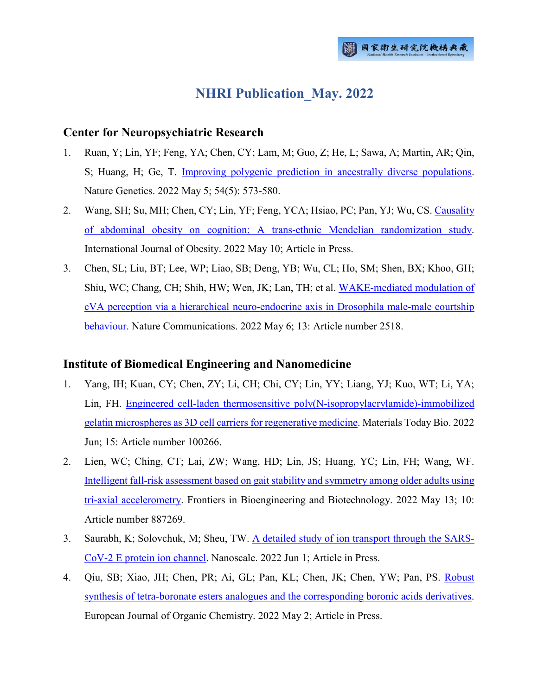# **NHRI Publication\_May. 2022**

#### **Center for Neuropsychiatric Research**

- 1. Ruan, Y; Lin, YF; Feng, YA; Chen, CY; Lam, M; Guo, Z; He, L; Sawa, A; Martin, AR; Qin, S; Huang, H; Ge, T. [Improving polygenic prediction in ancestrally diverse populations.](http://ir.nhri.edu.tw/handle/3990099045/14287) Nature Genetics. 2022 May 5; 54(5): 573-580.
- 2. Wang, SH; Su, MH; Chen, CY; Lin, YF; Feng, YCA; Hsiao, PC; Pan, YJ; Wu, CS[. Causality](http://ir.nhri.edu.tw/handle/3990099045/14288)  [of abdominal obesity on cognition: A trans-ethnic Mendelian randomization study.](http://ir.nhri.edu.tw/handle/3990099045/14288) International Journal of Obesity. 2022 May 10; Article in Press.
- 3. Chen, SL; Liu, BT; Lee, WP; Liao, SB; Deng, YB; Wu, CL; Ho, SM; Shen, BX; Khoo, GH; Shiu, WC; Chang, CH; Shih, HW; Wen, JK; Lan, TH; et al. [WAKE-mediated modulation of](http://ir.nhri.edu.tw/handle/3990099045/14289)  cVA perception via a hierarchical [neuro-endocrine axis in Drosophila male-male courtship](http://ir.nhri.edu.tw/handle/3990099045/14289)  [behaviour.](http://ir.nhri.edu.tw/handle/3990099045/14289) Nature Communications. 2022 May 6; 13: Article number 2518.

## **Institute of Biomedical Engineering and Nanomedicine**

- 1. Yang, IH; Kuan, CY; Chen, ZY; Li, CH; Chi, CY; Lin, YY; Liang, YJ; Kuo, WT; Li, YA; Lin, FH. [Engineered cell-laden thermosensitive poly\(N-isopropylacrylamide\)-immobilized](http://ir.nhri.edu.tw/handle/3990099045/14305)  [gelatin microspheres as 3D cell carriers for regenerative medicine.](http://ir.nhri.edu.tw/handle/3990099045/14305) Materials Today Bio. 2022 Jun; 15: Article number 100266.
- 2. Lien, WC; Ching, CT; Lai, ZW; Wang, HD; Lin, JS; Huang, YC; Lin, FH; Wang, WF. [Intelligent fall-risk assessment based on gait stability](http://ir.nhri.edu.tw/handle/3990099045/14306) and symmetry among older adults using [tri-axial accelerometry.](http://ir.nhri.edu.tw/handle/3990099045/14306) Frontiers in Bioengineering and Biotechnology. 2022 May 13; 10: Article number 887269.
- 3. Saurabh, K; Solovchuk, M; Sheu, TW. [A detailed study of ion transport through the SARS-](http://ir.nhri.edu.tw/handle/3990099045/14307)[CoV-2 E protein ion channel.](http://ir.nhri.edu.tw/handle/3990099045/14307) Nanoscale. 2022 Jun 1; Article in Press.
- 4. Qiu, SB; Xiao, JH; Chen, PR; Ai, GL; Pan, KL; Chen, JK; Chen, YW; Pan, PS. [Robust](http://ir.nhri.edu.tw/handle/3990099045/14308)  [synthesis of tetra-boronate esters analogues and the corresponding boronic acids derivatives.](http://ir.nhri.edu.tw/handle/3990099045/14308) European Journal of Organic Chemistry. 2022 May 2; Article in Press.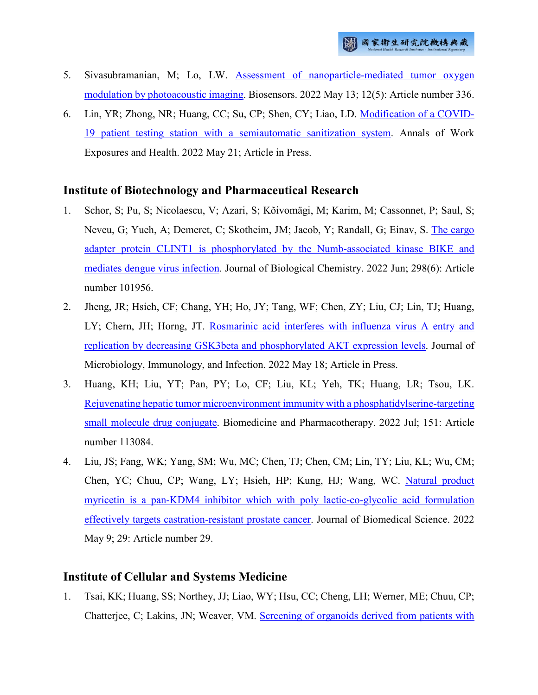- 5. Sivasubramanian, M; Lo, LW. [Assessment of nanoparticle-mediated tumor oxygen](http://ir.nhri.edu.tw/handle/3990099045/14309)  [modulation by photoacoustic imaging.](http://ir.nhri.edu.tw/handle/3990099045/14309) Biosensors. 2022 May 13; 12(5): Article number 336.
- 6. Lin, YR; Zhong, NR; Huang, CC; Su, CP; Shen, CY; Liao, LD. [Modification of a COVID-](http://ir.nhri.edu.tw/handle/3990099045/14315)[19 patient testing station with a semiautomatic sanitization system.](http://ir.nhri.edu.tw/handle/3990099045/14315) Annals of Work Exposures and Health. 2022 May 21; Article in Press.

#### **Institute of Biotechnology and Pharmaceutical Research**

- 1. Schor, S; Pu, S; Nicolaescu, V; Azari, S; Kõivomägi, M; Karim, M; Cassonnet, P; Saul, S; Neveu, G; Yueh, A; Demeret, C; Skotheim, JM; Jacob, Y; Randall, G; Einav, S. [The cargo](http://ir.nhri.edu.tw/handle/3990099045/14257)  [adapter protein CLINT1 is phosphorylated by the Numb-associated kinase BIKE and](http://ir.nhri.edu.tw/handle/3990099045/14257)  [mediates dengue virus infection.](http://ir.nhri.edu.tw/handle/3990099045/14257) Journal of Biological Chemistry. 2022 Jun; 298(6): Article number 101956.
- 2. Jheng, JR; Hsieh, CF; Chang, YH; Ho, JY; Tang, WF; Chen, ZY; Liu, CJ; Lin, TJ; Huang, LY; Chern, JH; Horng, JT. Rosmarinic acid interferes with influenza virus A entry and [replication by decreasing GSK3beta and phosphorylated AKT expression levels.](http://ir.nhri.edu.tw/handle/3990099045/14258) Journal of Microbiology, Immunology, and Infection. 2022 May 18; Article in Press.
- 3. Huang, KH; Liu, YT; Pan, PY; Lo, CF; Liu, KL; Yeh, TK; Huang, LR; Tsou, LK. [Rejuvenating hepatic tumor microenvironment immunity with a phosphatidylserine-targeting](http://ir.nhri.edu.tw/handle/3990099045/14318)  [small molecule drug conjugate.](http://ir.nhri.edu.tw/handle/3990099045/14318) Biomedicine and Pharmacotherapy. 2022 Jul; 151: Article number 113084.
- 4. Liu, JS; Fang, WK; Yang, SM; Wu, MC; Chen, TJ; Chen, CM; Lin, TY; Liu, KL; Wu, CM; Chen, YC; Chuu, CP; Wang, LY; Hsieh, HP; Kung, HJ; Wang, WC. [Natural product](http://ir.nhri.edu.tw/handle/3990099045/14320)  [myricetin is a pan-KDM4 inhibitor which with poly lactic-co-glycolic acid formulation](http://ir.nhri.edu.tw/handle/3990099045/14320)  [effectively targets castration-resistant prostate cancer.](http://ir.nhri.edu.tw/handle/3990099045/14320) Journal of Biomedical Science. 2022 May 9; 29: Article number 29.

## **Institute of Cellular and Systems Medicine**

1. Tsai, KK; Huang, SS; Northey, JJ; Liao, WY; Hsu, CC; Cheng, LH; Werner, ME; Chuu, CP; Chatterjee, C; Lakins, JN; Weaver, VM. [Screening of organoids derived from patients with](http://ir.nhri.edu.tw/handle/3990099045/14263)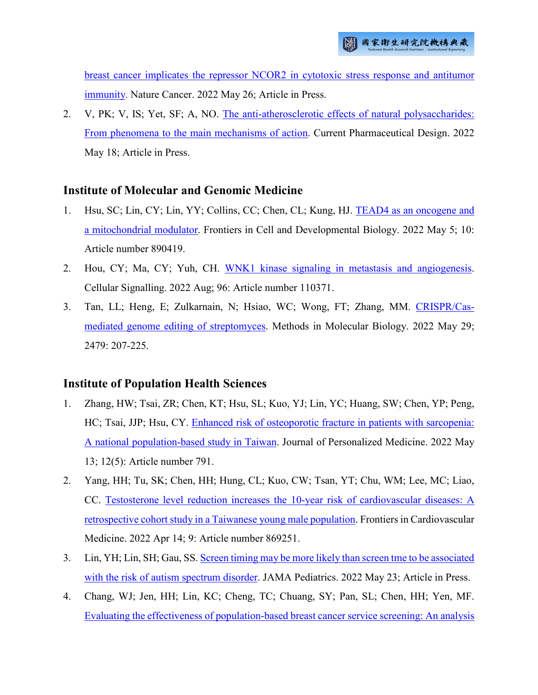[breast cancer implicates the repressor NCOR2 in cytotoxic stress response and antitumor](http://ir.nhri.edu.tw/handle/3990099045/14263)  [immunity.](http://ir.nhri.edu.tw/handle/3990099045/14263) Nature Cancer. 2022 May 26; Article in Press.

2. V, PK; V, IS; Yet, SF; A, NO. [The anti-atherosclerotic effects of natural polysaccharides:](http://ir.nhri.edu.tw/handle/3990099045/14311)  [From phenomena to the main mechanisms of action.](http://ir.nhri.edu.tw/handle/3990099045/14311) Current Pharmaceutical Design. 2022 May 18; Article in Press.

## **Institute of Molecular and Genomic Medicine**

- 1. Hsu, SC; Lin, CY; Lin, YY; Collins, CC; Chen, CL; Kung, HJ. [TEAD4 as an oncogene and](http://ir.nhri.edu.tw/handle/3990099045/14255)  [a mitochondrial modulator.](http://ir.nhri.edu.tw/handle/3990099045/14255) Frontiers in Cell and Developmental Biology. 2022 May 5; 10: Article number 890419.
- 2. Hou, CY; Ma, CY; Yuh, CH. [WNK1 kinase signaling in metastasis and angiogenesis.](http://ir.nhri.edu.tw/handle/3990099045/14256) Cellular Signalling. 2022 Aug; 96: Article number 110371.
- 3. Tan, LL; Heng, E; Zulkarnain, N; Hsiao, WC; Wong, FT; Zhang, MM. [CRISPR/Cas](http://ir.nhri.edu.tw/handle/3990099045/14313)[mediated genome editing of streptomyces.](http://ir.nhri.edu.tw/handle/3990099045/14313) Methods in Molecular Biology. 2022 May 29; 2479: 207-225.

## **Institute of Population Health Sciences**

- 1. Zhang, HW; Tsai, ZR; Chen, KT; Hsu, SL; Kuo, YJ; Lin, YC; Huang, SW; Chen, YP; Peng, HC; Tsai, JJP; Hsu, CY. [Enhanced risk of osteoporotic fracture in patients with sarcopenia:](http://ir.nhri.edu.tw/handle/3990099045/14273)  [A national population-based study in Taiwan.](http://ir.nhri.edu.tw/handle/3990099045/14273) Journal of Personalized Medicine. 2022 May 13; 12(5): Article number 791.
- 2. Yang, HH; Tu, SK; Chen, HH; Hung, CL; Kuo, CW; Tsan, YT; Chu, WM; Lee, MC; Liao, CC. [Testosterone level reduction increases the 10-year risk of cardiovascular diseases: A](http://ir.nhri.edu.tw/handle/3990099045/14274)  [retrospective cohort study in a Taiwanese young male population.](http://ir.nhri.edu.tw/handle/3990099045/14274) Frontiers in Cardiovascular Medicine. 2022 Apr 14; 9: Article number 869251.
- 3. Lin, YH; Lin, SH; Gau, SS. [Screen timing may be more likely than screen tme to be associated](http://ir.nhri.edu.tw/handle/3990099045/14275)  [with the risk of autism spectrum disorder.](http://ir.nhri.edu.tw/handle/3990099045/14275) JAMA Pediatrics. 2022 May 23; Article in Press.
- 4. Chang, WJ; Jen, HH; Lin, KC; Cheng, TC; Chuang, SY; Pan, SL; Chen, HH; Yen, MF. [Evaluating the effectiveness of population-based breast cancer service screening: An analysis](http://ir.nhri.edu.tw/handle/3990099045/14277)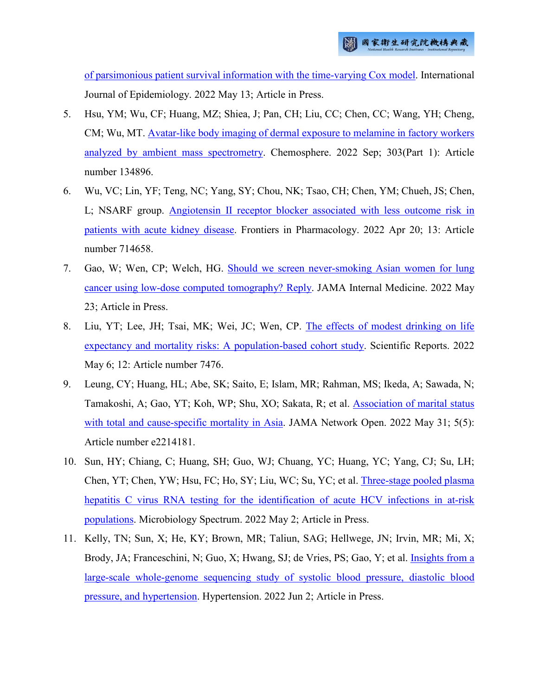[of parsimonious patient survival information with the time-varying Cox model.](http://ir.nhri.edu.tw/handle/3990099045/14277) International Journal of Epidemiology. 2022 May 13; Article in Press.

- 5. Hsu, YM; Wu, CF; Huang, MZ; Shiea, J; Pan, CH; Liu, CC; Chen, CC; Wang, YH; Cheng, CM; Wu, MT. [Avatar-like body imaging of dermal exposure to melamine in factory workers](http://ir.nhri.edu.tw/handle/3990099045/14278)  [analyzed by ambient mass spectrometry.](http://ir.nhri.edu.tw/handle/3990099045/14278) Chemosphere. 2022 Sep; 303(Part 1): Article number 134896.
- 6. Wu, VC; Lin, YF; Teng, NC; Yang, SY; Chou, NK; Tsao, CH; Chen, YM; Chueh, JS; Chen, L; NSARF group. [Angiotensin II receptor blocker associated with less outcome risk in](http://ir.nhri.edu.tw/handle/3990099045/14279)  [patients with acute kidney disease.](http://ir.nhri.edu.tw/handle/3990099045/14279) Frontiers in Pharmacology. 2022 Apr 20; 13: Article number 714658.
- 7. Gao, W; Wen, CP; Welch, HG. [Should we screen never-smoking Asian women for lung](http://ir.nhri.edu.tw/handle/3990099045/14280)  [cancer using low-dose computed tomography? Reply.](http://ir.nhri.edu.tw/handle/3990099045/14280) JAMA Internal Medicine. 2022 May 23; Article in Press.
- 8. Liu, YT; Lee, JH; Tsai, MK; Wei, JC; Wen, CP. [The effects of modest drinking on life](http://ir.nhri.edu.tw/handle/3990099045/14281)  [expectancy and mortality risks: A population-based cohort study.](http://ir.nhri.edu.tw/handle/3990099045/14281) Scientific Reports. 2022 May 6; 12: Article number 7476.
- 9. Leung, CY; Huang, HL; Abe, SK; Saito, E; Islam, MR; Rahman, MS; Ikeda, A; Sawada, N; Tamakoshi, A; Gao, YT; Koh, WP; Shu, XO; Sakata, R; et al. [Association of marital status](http://ir.nhri.edu.tw/handle/3990099045/14282)  [with total and cause-specific mortality in Asia.](http://ir.nhri.edu.tw/handle/3990099045/14282) JAMA Network Open. 2022 May 31; 5(5): Article number e2214181.
- 10. Sun, HY; Chiang, C; Huang, SH; Guo, WJ; Chuang, YC; Huang, YC; Yang, CJ; Su, LH; Chen, YT; Chen, YW; Hsu, FC; Ho, SY; Liu, WC; Su, YC; et al. [Three-stage pooled plasma](http://ir.nhri.edu.tw/handle/3990099045/14283)  [hepatitis C virus RNA testing for the identification of acute HCV infections in at-risk](http://ir.nhri.edu.tw/handle/3990099045/14283)  [populations.](http://ir.nhri.edu.tw/handle/3990099045/14283) Microbiology Spectrum. 2022 May 2; Article in Press.
- 11. Kelly, TN; Sun, X; He, KY; Brown, MR; Taliun, SAG; Hellwege, JN; Irvin, MR; Mi, X; Brody, JA; Franceschini, N; Guo, X; Hwang, SJ; de Vries, PS; Gao, Y; et al. Insights from a [large-scale whole-genome sequencing study of systolic blood pressure, diastolic blood](http://ir.nhri.edu.tw/handle/3990099045/14284)  [pressure, and hypertension.](http://ir.nhri.edu.tw/handle/3990099045/14284) Hypertension. 2022 Jun 2; Article in Press.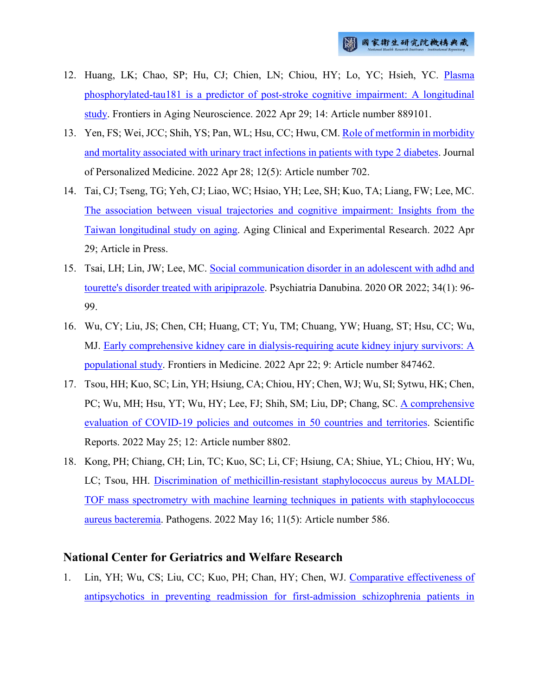- 12. Huang, LK; Chao, SP; Hu, CJ; Chien, LN; Chiou, HY; Lo, YC; Hsieh, YC. [Plasma](http://ir.nhri.edu.tw/handle/3990099045/14285)  [phosphorylated-tau181 is a predictor of post-stroke cognitive impairment: A longitudinal](http://ir.nhri.edu.tw/handle/3990099045/14285)  [study.](http://ir.nhri.edu.tw/handle/3990099045/14285) Frontiers in Aging Neuroscience. 2022 Apr 29; 14: Article number 889101.
- 13. Yen, FS; Wei, JCC; Shih, YS; Pan, WL; Hsu, CC; Hwu, CM. [Role of metformin in morbidity](http://ir.nhri.edu.tw/handle/3990099045/14286)  [and mortality associated with urinary tract infections in patients with type 2 diabetes.](http://ir.nhri.edu.tw/handle/3990099045/14286) Journal of Personalized Medicine. 2022 Apr 28; 12(5): Article number 702.
- 14. Tai, CJ; Tseng, TG; Yeh, CJ; Liao, WC; Hsiao, YH; Lee, SH; Kuo, TA; Liang, FW; Lee, MC. [The association between visual trajectories and cognitive impairment: Insights from the](http://ir.nhri.edu.tw/handle/3990099045/14310)  [Taiwan longitudinal study on aging.](http://ir.nhri.edu.tw/handle/3990099045/14310) Aging Clinical and Experimental Research. 2022 Apr 29; Article in Press.
- 15. Tsai, LH; Lin, JW; Lee, MC. [Social communication disorder in an adolescent with adhd and](http://ir.nhri.edu.tw/handle/3990099045/14314)  [tourette's disorder treated with aripiprazole.](http://ir.nhri.edu.tw/handle/3990099045/14314) Psychiatria Danubina. 2020 OR 2022; 34(1): 96- 99.
- 16. Wu, CY; Liu, JS; Chen, CH; Huang, CT; Yu, TM; Chuang, YW; Huang, ST; Hsu, CC; Wu, MJ. [Early comprehensive kidney care in dialysis-requiring acute kidney injury survivors: A](http://ir.nhri.edu.tw/handle/3990099045/14316)  [populational study.](http://ir.nhri.edu.tw/handle/3990099045/14316) Frontiers in Medicine. 2022 Apr 22; 9: Article number 847462.
- 17. Tsou, HH; Kuo, SC; Lin, YH; Hsiung, CA; Chiou, HY; Chen, WJ; Wu, SI; Sytwu, HK; Chen, PC; Wu, MH; Hsu, YT; Wu, HY; Lee, FJ; Shih, SM; Liu, DP; Chang, SC. [A comprehensive](http://ir.nhri.edu.tw/handle/3990099045/14319)  [evaluation of COVID-19 policies and outcomes in 50 countries and territories.](http://ir.nhri.edu.tw/handle/3990099045/14319) Scientific Reports. 2022 May 25; 12: Article number 8802.
- 18. Kong, PH; Chiang, CH; Lin, TC; Kuo, SC; Li, CF; Hsiung, CA; Shiue, YL; Chiou, HY; Wu, LC; Tsou, HH. [Discrimination of methicillin-resistant staphylococcus aureus by MALDI-](http://ir.nhri.edu.tw/handle/3990099045/14321)[TOF mass spectrometry with machine learning techniques in patients with staphylococcus](http://ir.nhri.edu.tw/handle/3990099045/14321)  [aureus bacteremia.](http://ir.nhri.edu.tw/handle/3990099045/14321) Pathogens. 2022 May 16; 11(5): Article number 586.

## **National Center for Geriatrics and Welfare Research**

1. Lin, YH; Wu, CS; Liu, CC; Kuo, PH; Chan, HY; Chen, WJ. [Comparative effectiveness of](http://ir.nhri.edu.tw/handle/3990099045/14262)  [antipsychotics in preventing readmission for first-admission schizophrenia patients in](http://ir.nhri.edu.tw/handle/3990099045/14262)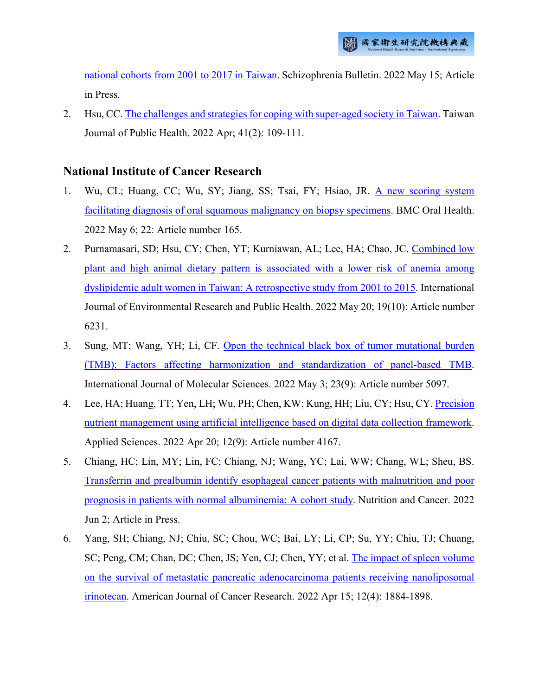[national cohorts from 2001 to 2017 in Taiwan.](http://ir.nhri.edu.tw/handle/3990099045/14262) Schizophrenia Bulletin. 2022 May 15; Article in Press.

2. Hsu, CC. [The challenges and strategies for coping with super-aged society in Taiwan.](http://ir.nhri.edu.tw/handle/3990099045/14327) Taiwan Journal of Public Health. 2022 Apr; 41(2): 109-111.

#### **National Institute of Cancer Research**

- 1. Wu, CL; Huang, CC; Wu, SY; Jiang, SS; Tsai, FY; Hsiao, JR. [A new scoring system](http://ir.nhri.edu.tw/handle/3990099045/14296)  [facilitating diagnosis of oral squamous malignancy on biopsy specimens.](http://ir.nhri.edu.tw/handle/3990099045/14296) BMC Oral Health. 2022 May 6; 22: Article number 165.
- 2. Purnamasari, SD; Hsu, CY; Chen, YT; Kurniawan, AL; Lee, HA; Chao, JC. [Combined low](http://ir.nhri.edu.tw/handle/3990099045/14297)  [plant and high animal dietary pattern is associated with a lower risk of anemia among](http://ir.nhri.edu.tw/handle/3990099045/14297)  [dyslipidemic adult women in Taiwan: A retrospective study from 2001 to 2015.](http://ir.nhri.edu.tw/handle/3990099045/14297) International Journal of Environmental Research and Public Health. 2022 May 20; 19(10): Article number 6231.
- 3. Sung, MT; Wang, YH; Li, CF. [Open the technical black box of tumor mutational burden](http://ir.nhri.edu.tw/handle/3990099045/14298)  [\(TMB\): Factors affecting harmonization and standardization of panel-based TMB.](http://ir.nhri.edu.tw/handle/3990099045/14298) International Journal of Molecular Sciences. 2022 May 3; 23(9): Article number 5097.
- 4. Lee, HA; Huang, TT; Yen, LH; Wu, PH; Chen, KW; Kung, HH; Liu, CY; Hsu, CY. [Precision](http://ir.nhri.edu.tw/handle/3990099045/14299)  [nutrient management using artificial intelligence based on digital data collection framework.](http://ir.nhri.edu.tw/handle/3990099045/14299) Applied Sciences. 2022 Apr 20; 12(9): Article number 4167.
- 5. Chiang, HC; Lin, MY; Lin, FC; Chiang, NJ; Wang, YC; Lai, WW; Chang, WL; Sheu, BS. [Transferrin and prealbumin identify esophageal cancer patients with malnutrition and poor](http://ir.nhri.edu.tw/handle/3990099045/14301)  [prognosis in patients with normal albuminemia: A cohort study.](http://ir.nhri.edu.tw/handle/3990099045/14301) Nutrition and Cancer. 2022 Jun 2; Article in Press.
- 6. Yang, SH; Chiang, NJ; Chiu, SC; Chou, WC; Bai, LY; Li, CP; Su, YY; Chiu, TJ; Chuang, SC; Peng, CM; Chan, DC; Chen, JS; Yen, CJ; Chen, YY; et al. [The impact of spleen volume](http://ir.nhri.edu.tw/handle/3990099045/14302)  [on the survival of metastatic pancreatic adenocarcinoma patients receiving nanoliposomal](http://ir.nhri.edu.tw/handle/3990099045/14302)  [irinotecan.](http://ir.nhri.edu.tw/handle/3990099045/14302) American Journal of Cancer Research. 2022 Apr 15; 12(4): 1884-1898.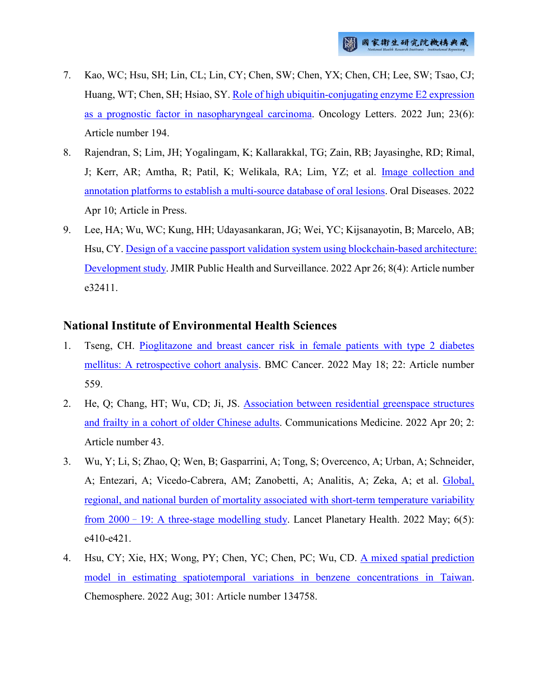- 7. Kao, WC; Hsu, SH; Lin, CL; Lin, CY; Chen, SW; Chen, YX; Chen, CH; Lee, SW; Tsao, CJ; Huang, WT; Chen, SH; Hsiao, SY[. Role of high ubiquitin-conjugating enzyme E2 expression](http://ir.nhri.edu.tw/handle/3990099045/14303)  [as a prognostic factor in nasopharyngeal carcinoma.](http://ir.nhri.edu.tw/handle/3990099045/14303) Oncology Letters. 2022 Jun; 23(6): Article number 194.
- 8. Rajendran, S; Lim, JH; Yogalingam, K; Kallarakkal, TG; Zain, RB; Jayasinghe, RD; Rimal, J; Kerr, AR; Amtha, R; Patil, K; Welikala, RA; Lim, YZ; et al. [Image collection and](http://ir.nhri.edu.tw/handle/3990099045/14304)  [annotation platforms to establish a multi-source database of oral lesions.](http://ir.nhri.edu.tw/handle/3990099045/14304) Oral Diseases. 2022 Apr 10; Article in Press.
- 9. Lee, HA; Wu, WC; Kung, HH; Udayasankaran, JG; Wei, YC; Kijsanayotin, B; Marcelo, AB; Hsu, CY. [Design of a vaccine passport validation system using blockchain-based architecture:](http://ir.nhri.edu.tw/handle/3990099045/14322)  [Development study.](http://ir.nhri.edu.tw/handle/3990099045/14322) JMIR Public Health and Surveillance. 2022 Apr 26; 8(4): Article number e32411.

#### **National Institute of Environmental Health Sciences**

- 1. Tseng, CH. [Pioglitazone and breast cancer risk in female patients with type 2 diabetes](http://ir.nhri.edu.tw/handle/3990099045/14290)  [mellitus: A retrospective cohort analysis.](http://ir.nhri.edu.tw/handle/3990099045/14290) BMC Cancer. 2022 May 18; 22: Article number 559.
- 2. He, Q; Chang, HT; Wu, CD; Ji, JS. [Association between residential greenspace structures](http://ir.nhri.edu.tw/handle/3990099045/14291)  [and frailty in a cohort of older Chinese adults.](http://ir.nhri.edu.tw/handle/3990099045/14291) Communications Medicine. 2022 Apr 20; 2: Article number 43.
- 3. Wu, Y; Li, S; Zhao, Q; Wen, B; Gasparrini, A; Tong, S; Overcenco, A; Urban, A; Schneider, A; Entezari, A; Vicedo-Cabrera, AM; Zanobetti, A; Analitis, A; Zeka, A; et al. [Global,](http://ir.nhri.edu.tw/handle/3990099045/14292)  [regional, and national burden of mortality associated with short-term temperature variability](http://ir.nhri.edu.tw/handle/3990099045/14292)  from 2000–[19: A three-stage modelling study.](http://ir.nhri.edu.tw/handle/3990099045/14292) Lancet Planetary Health. 2022 May; 6(5): e410-e421.
- 4. Hsu, CY; Xie, HX; Wong, PY; Chen, YC; Chen, PC; Wu, CD. [A mixed spatial prediction](http://ir.nhri.edu.tw/handle/3990099045/14293)  [model in estimating spatiotemporal variations in benzene concentrations in Taiwan.](http://ir.nhri.edu.tw/handle/3990099045/14293) Chemosphere. 2022 Aug; 301: Article number 134758.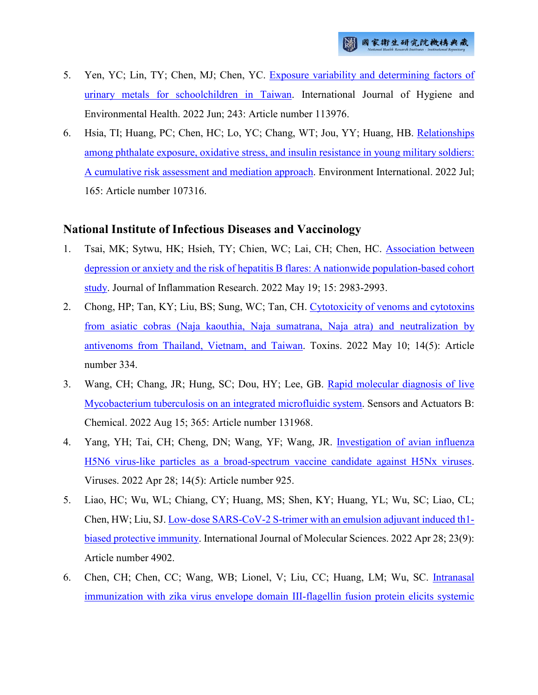- 5. Yen, YC; Lin, TY; Chen, MJ; Chen, YC. [Exposure variability and determining factors of](http://ir.nhri.edu.tw/handle/3990099045/14294)  [urinary metals for schoolchildren in Taiwan.](http://ir.nhri.edu.tw/handle/3990099045/14294) International Journal of Hygiene and Environmental Health. 2022 Jun; 243: Article number 113976.
- 6. Hsia, TI; Huang, PC; Chen, HC; Lo, YC; Chang, WT; Jou, YY; Huang, HB. [Relationships](http://ir.nhri.edu.tw/handle/3990099045/14295)  [among phthalate exposure, oxidative stress, and insulin resistance in young military soldiers:](http://ir.nhri.edu.tw/handle/3990099045/14295)  [A cumulative risk assessment and mediation approach.](http://ir.nhri.edu.tw/handle/3990099045/14295) Environment International. 2022 Jul; 165: Article number 107316.

## **National Institute of Infectious Diseases and Vaccinology**

- 1. Tsai, MK; Sytwu, HK; Hsieh, TY; Chien, WC; Lai, CH; Chen, HC. [Association between](http://ir.nhri.edu.tw/handle/3990099045/14264)  [depression or anxiety and the risk of hepatitis B flares: A nationwide population-based cohort](http://ir.nhri.edu.tw/handle/3990099045/14264)  [study.](http://ir.nhri.edu.tw/handle/3990099045/14264) Journal of Inflammation Research. 2022 May 19; 15: 2983-2993.
- 2. Chong, HP; Tan, KY; Liu, BS; Sung, WC; Tan, CH. [Cytotoxicity of venoms and cytotoxins](http://ir.nhri.edu.tw/handle/3990099045/14266)  [from asiatic cobras \(Naja kaouthia, Naja sumatrana, Naja atra\) and neutralization by](http://ir.nhri.edu.tw/handle/3990099045/14266)  [antivenoms from Thailand, Vietnam, and Taiwan.](http://ir.nhri.edu.tw/handle/3990099045/14266) Toxins. 2022 May 10; 14(5): Article number 334.
- 3. Wang, CH; Chang, JR; Hung, SC; Dou, HY; Lee, GB. [Rapid molecular diagnosis of live](http://ir.nhri.edu.tw/handle/3990099045/14267)  [Mycobacterium tuberculosis on an integrated microfluidic system.](http://ir.nhri.edu.tw/handle/3990099045/14267) Sensors and Actuators B: Chemical. 2022 Aug 15; 365: Article number 131968.
- 4. Yang, YH; Tai, CH; Cheng, DN; Wang, YF; Wang, JR. [Investigation of avian influenza](http://ir.nhri.edu.tw/handle/3990099045/14268)  [H5N6 virus-like particles as a broad-spectrum vaccine candidate against H5Nx viruses.](http://ir.nhri.edu.tw/handle/3990099045/14268) Viruses. 2022 Apr 28; 14(5): Article number 925.
- 5. Liao, HC; Wu, WL; Chiang, CY; Huang, MS; Shen, KY; Huang, YL; Wu, SC; Liao, CL; Chen, HW; Liu, SJ. [Low-dose SARS-CoV-2 S-trimer with an emulsion adjuvant induced th1](http://ir.nhri.edu.tw/handle/3990099045/14269) [biased protective immunity.](http://ir.nhri.edu.tw/handle/3990099045/14269) International Journal of Molecular Sciences. 2022 Apr 28; 23(9): Article number 4902.
- 6. Chen, CH; Chen, CC; Wang, WB; Lionel, V; Liu, CC; Huang, LM; Wu, SC. [Intranasal](http://ir.nhri.edu.tw/handle/3990099045/14270)  [immunization with zika virus envelope domain III-flagellin fusion protein elicits systemic](http://ir.nhri.edu.tw/handle/3990099045/14270)